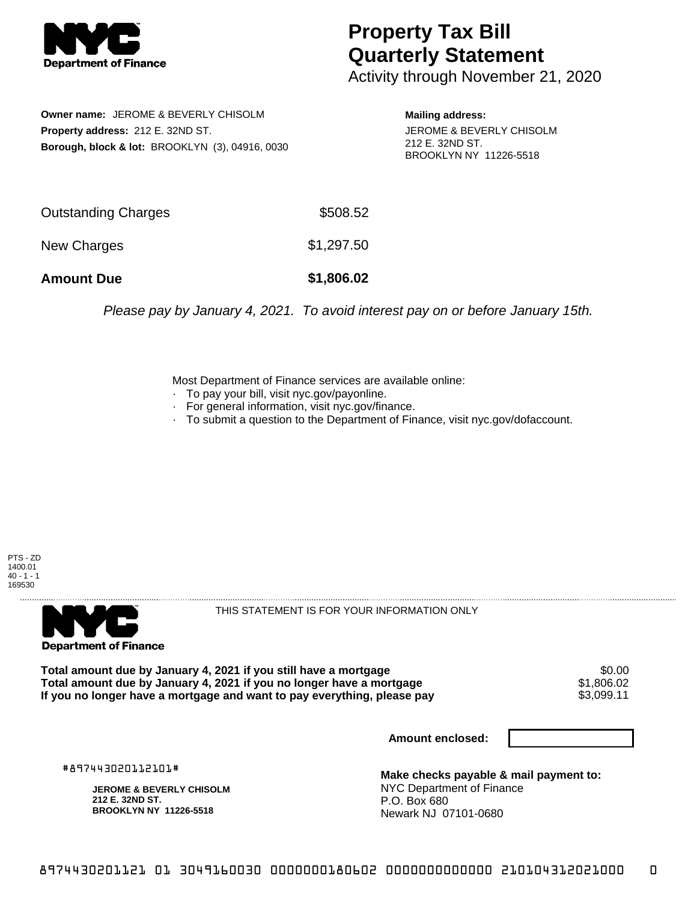

## **Property Tax Bill Quarterly Statement**

Activity through November 21, 2020

**Owner name:** JEROME & BEVERLY CHISOLM **Property address:** 212 E. 32ND ST. **Borough, block & lot:** BROOKLYN (3), 04916, 0030

**Mailing address:** JEROME & BEVERLY CHISOLM 212 E. 32ND ST. BROOKLYN NY 11226-5518

| <b>Amount Due</b>   | \$1,806.02 |
|---------------------|------------|
| New Charges         | \$1,297.50 |
| Outstanding Charges | \$508.52   |

Please pay by January 4, 2021. To avoid interest pay on or before January 15th.

Most Department of Finance services are available online:

- · To pay your bill, visit nyc.gov/payonline.
- For general information, visit nyc.gov/finance.
- · To submit a question to the Department of Finance, visit nyc.gov/dofaccount.

PTS - ZD 1400.01  $40 - 1 - 1$ 169530



THIS STATEMENT IS FOR YOUR INFORMATION ONLY

Total amount due by January 4, 2021 if you still have a mortgage \$0.00<br>Total amount due by January 4, 2021 if you no longer have a mortgage \$1.806.02 **Total amount due by January 4, 2021 if you no longer have a mortgage**  $$1,806.02$$ **<br>If you no longer have a mortgage and want to pay everything, please pay**  $$3,099.11$$ If you no longer have a mortgage and want to pay everything, please pay

**Amount enclosed:**

#897443020112101#

**JEROME & BEVERLY CHISOLM 212 E. 32ND ST. BROOKLYN NY 11226-5518**

**Make checks payable & mail payment to:** NYC Department of Finance P.O. Box 680 Newark NJ 07101-0680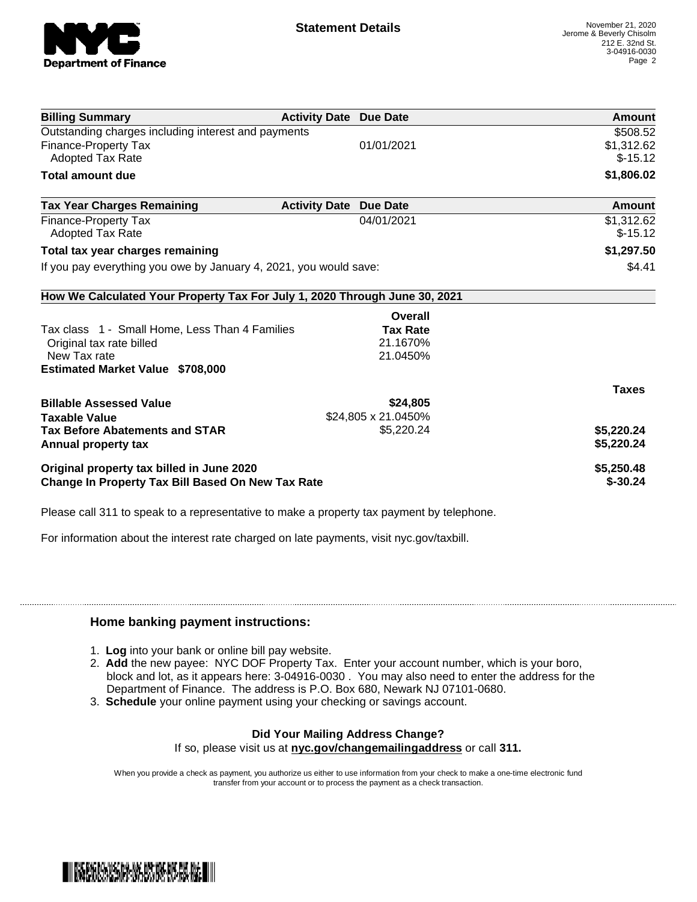

| <b>Billing Summary</b>                                                     | <b>Activity Date Due Date</b> |                     | Amount       |
|----------------------------------------------------------------------------|-------------------------------|---------------------|--------------|
| Outstanding charges including interest and payments                        |                               |                     | \$508.52     |
| Finance-Property Tax                                                       |                               | 01/01/2021          | \$1,312.62   |
| Adopted Tax Rate                                                           |                               |                     | $$-15.12$    |
| Total amount due                                                           |                               |                     | \$1,806.02   |
| <b>Tax Year Charges Remaining</b>                                          | <b>Activity Date</b>          | <b>Due Date</b>     | Amount       |
| Finance-Property Tax                                                       |                               | 04/01/2021          | \$1,312.62   |
| <b>Adopted Tax Rate</b>                                                    |                               |                     | $$-15.12$    |
| Total tax year charges remaining                                           |                               |                     | \$1,297.50   |
| If you pay everything you owe by January 4, 2021, you would save:          |                               |                     | \$4.41       |
| How We Calculated Your Property Tax For July 1, 2020 Through June 30, 2021 |                               |                     |              |
|                                                                            |                               | Overall             |              |
| Tax class 1 - Small Home, Less Than 4 Families                             |                               | <b>Tax Rate</b>     |              |
| Original tax rate billed                                                   |                               | 21.1670%            |              |
| New Tax rate                                                               |                               | 21.0450%            |              |
| <b>Estimated Market Value \$708,000</b>                                    |                               |                     |              |
|                                                                            |                               |                     | <b>Taxes</b> |
| <b>Billable Assessed Value</b>                                             |                               | \$24,805            |              |
| <b>Taxable Value</b>                                                       |                               | \$24,805 x 21.0450% |              |
| <b>Tax Before Abatements and STAR</b>                                      |                               | \$5,220.24          | \$5,220.24   |
| Annual property tax                                                        |                               |                     | \$5,220.24   |
| Original property tax billed in June 2020                                  |                               |                     | \$5,250.48   |
| <b>Change In Property Tax Bill Based On New Tax Rate</b>                   |                               |                     | $$ -30.24$   |

Please call 311 to speak to a representative to make a property tax payment by telephone.

For information about the interest rate charged on late payments, visit nyc.gov/taxbill.

## **Home banking payment instructions:**

- 1. **Log** into your bank or online bill pay website.
- 2. **Add** the new payee: NYC DOF Property Tax. Enter your account number, which is your boro, block and lot, as it appears here: 3-04916-0030 . You may also need to enter the address for the Department of Finance. The address is P.O. Box 680, Newark NJ 07101-0680.
- 3. **Schedule** your online payment using your checking or savings account.

## **Did Your Mailing Address Change?**

If so, please visit us at **nyc.gov/changemailingaddress** or call **311.**

When you provide a check as payment, you authorize us either to use information from your check to make a one-time electronic fund transfer from your account or to process the payment as a check transaction.